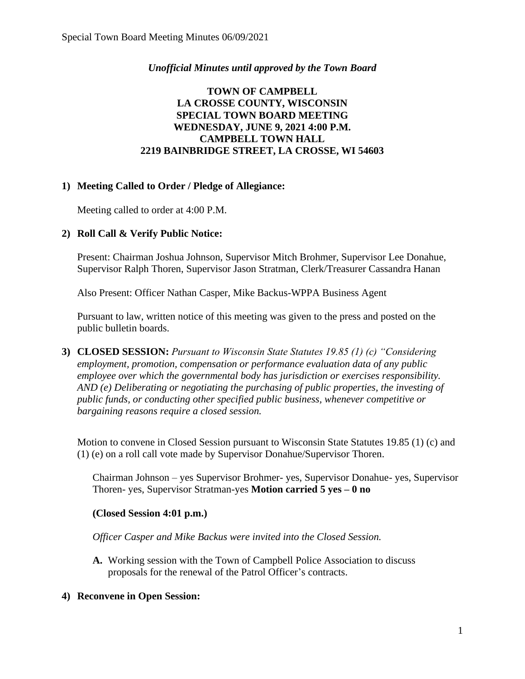## *Unofficial Minutes until approved by the Town Board*

## **TOWN OF CAMPBELL LA CROSSE COUNTY, WISCONSIN SPECIAL TOWN BOARD MEETING WEDNESDAY, JUNE 9, 2021 4:00 P.M. CAMPBELL TOWN HALL 2219 BAINBRIDGE STREET, LA CROSSE, WI 54603**

## **1) Meeting Called to Order / Pledge of Allegiance:**

Meeting called to order at 4:00 P.M.

## **2) Roll Call & Verify Public Notice:**

Present: Chairman Joshua Johnson, Supervisor Mitch Brohmer, Supervisor Lee Donahue, Supervisor Ralph Thoren, Supervisor Jason Stratman, Clerk/Treasurer Cassandra Hanan

Also Present: Officer Nathan Casper, Mike Backus-WPPA Business Agent

Pursuant to law, written notice of this meeting was given to the press and posted on the public bulletin boards.

**3) CLOSED SESSION:** *Pursuant to Wisconsin State Statutes 19.85 (1) (c) "Considering employment, promotion, compensation or performance evaluation data of any public employee over which the governmental body has jurisdiction or exercises responsibility. AND (e) Deliberating or negotiating the purchasing of public properties, the investing of public funds, or conducting other specified public business, whenever competitive or bargaining reasons require a closed session.*

Motion to convene in Closed Session pursuant to Wisconsin State Statutes 19.85 (1) (c) and (1) (e) on a roll call vote made by Supervisor Donahue/Supervisor Thoren.

Chairman Johnson – yes Supervisor Brohmer- yes, Supervisor Donahue- yes, Supervisor Thoren- yes, Supervisor Stratman-yes **Motion carried 5 yes – 0 no** 

#### **(Closed Session 4:01 p.m.)**

*Officer Casper and Mike Backus were invited into the Closed Session.*

**A.** Working session with the Town of Campbell Police Association to discuss proposals for the renewal of the Patrol Officer's contracts.

#### **4) Reconvene in Open Session:**